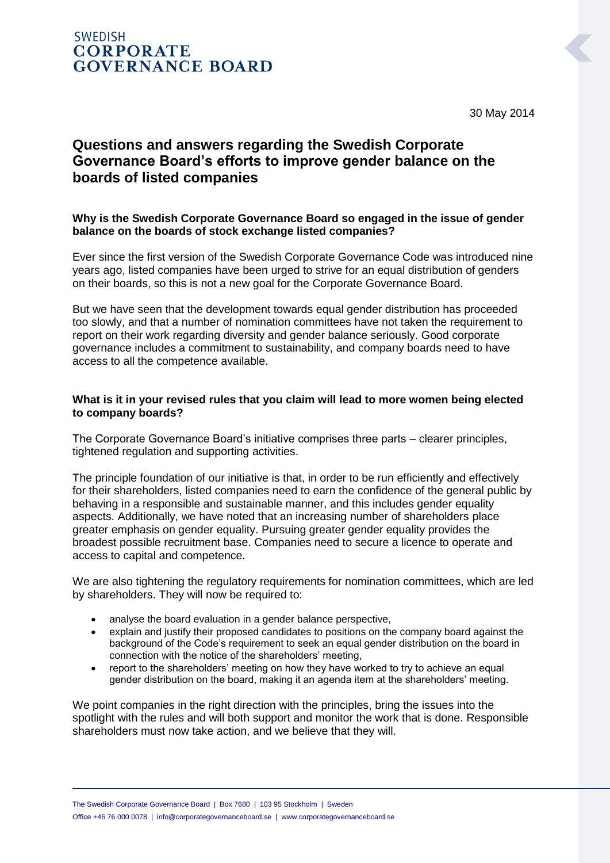30 May 2014

# **Questions and answers regarding the Swedish Corporate Governance Board's efforts to improve gender balance on the boards of listed companies**

## **Why is the Swedish Corporate Governance Board so engaged in the issue of gender balance on the boards of stock exchange listed companies?**

Ever since the first version of the Swedish Corporate Governance Code was introduced nine years ago, listed companies have been urged to strive for an equal distribution of genders on their boards, so this is not a new goal for the Corporate Governance Board.

But we have seen that the development towards equal gender distribution has proceeded too slowly, and that a number of nomination committees have not taken the requirement to report on their work regarding diversity and gender balance seriously. Good corporate governance includes a commitment to sustainability, and company boards need to have access to all the competence available.

## **What is it in your revised rules that you claim will lead to more women being elected to company boards?**

The Corporate Governance Board's initiative comprises three parts – clearer principles, tightened regulation and supporting activities.

The principle foundation of our initiative is that, in order to be run efficiently and effectively for their shareholders, listed companies need to earn the confidence of the general public by behaving in a responsible and sustainable manner, and this includes gender equality aspects. Additionally, we have noted that an increasing number of shareholders place greater emphasis on gender equality. Pursuing greater gender equality provides the broadest possible recruitment base. Companies need to secure a licence to operate and access to capital and competence.

We are also tightening the regulatory requirements for nomination committees, which are led by shareholders. They will now be required to:

- analyse the board evaluation in a gender balance perspective,
- explain and justify their proposed candidates to positions on the company board against the background of the Code's requirement to seek an equal gender distribution on the board in connection with the notice of the shareholders' meeting,
- report to the shareholders' meeting on how they have worked to try to achieve an equal gender distribution on the board, making it an agenda item at the shareholders' meeting.

We point companies in the right direction with the principles, bring the issues into the spotlight with the rules and will both support and monitor the work that is done. Responsible shareholders must now take action, and we believe that they will.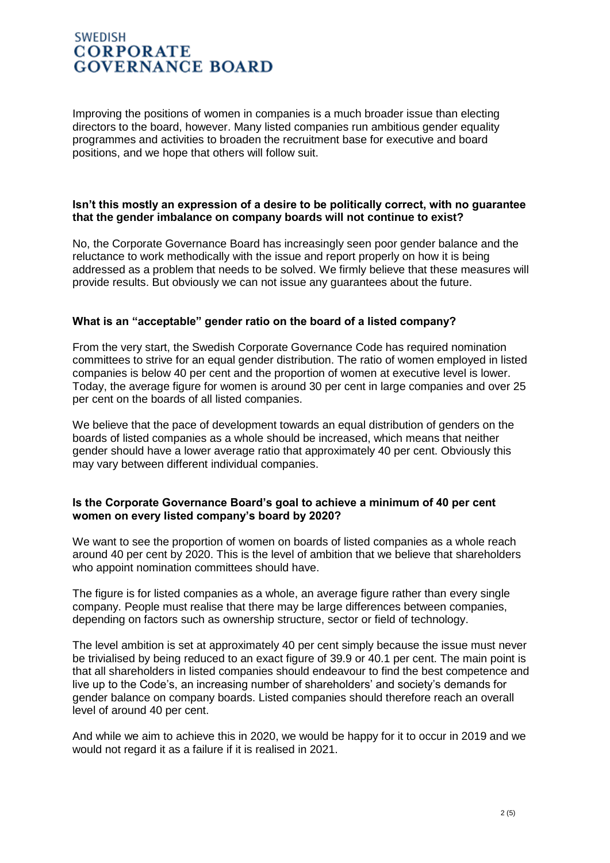Improving the positions of women in companies is a much broader issue than electing directors to the board, however. Many listed companies run ambitious gender equality programmes and activities to broaden the recruitment base for executive and board positions, and we hope that others will follow suit.

### **Isn't this mostly an expression of a desire to be politically correct, with no guarantee that the gender imbalance on company boards will not continue to exist?**

No, the Corporate Governance Board has increasingly seen poor gender balance and the reluctance to work methodically with the issue and report properly on how it is being addressed as a problem that needs to be solved. We firmly believe that these measures will provide results. But obviously we can not issue any guarantees about the future.

## **What is an "acceptable" gender ratio on the board of a listed company?**

From the very start, the Swedish Corporate Governance Code has required nomination committees to strive for an equal gender distribution. The ratio of women employed in listed companies is below 40 per cent and the proportion of women at executive level is lower. Today, the average figure for women is around 30 per cent in large companies and over 25 per cent on the boards of all listed companies.

We believe that the pace of development towards an equal distribution of genders on the boards of listed companies as a whole should be increased, which means that neither gender should have a lower average ratio that approximately 40 per cent. Obviously this may vary between different individual companies.

### **Is the Corporate Governance Board's goal to achieve a minimum of 40 per cent women on every listed company's board by 2020?**

We want to see the proportion of women on boards of listed companies as a whole reach around 40 per cent by 2020. This is the level of ambition that we believe that shareholders who appoint nomination committees should have.

The figure is for listed companies as a whole, an average figure rather than every single company. People must realise that there may be large differences between companies, depending on factors such as ownership structure, sector or field of technology.

The level ambition is set at approximately 40 per cent simply because the issue must never be trivialised by being reduced to an exact figure of 39.9 or 40.1 per cent. The main point is that all shareholders in listed companies should endeavour to find the best competence and live up to the Code's, an increasing number of shareholders' and society's demands for gender balance on company boards. Listed companies should therefore reach an overall level of around 40 per cent.

And while we aim to achieve this in 2020, we would be happy for it to occur in 2019 and we would not regard it as a failure if it is realised in 2021.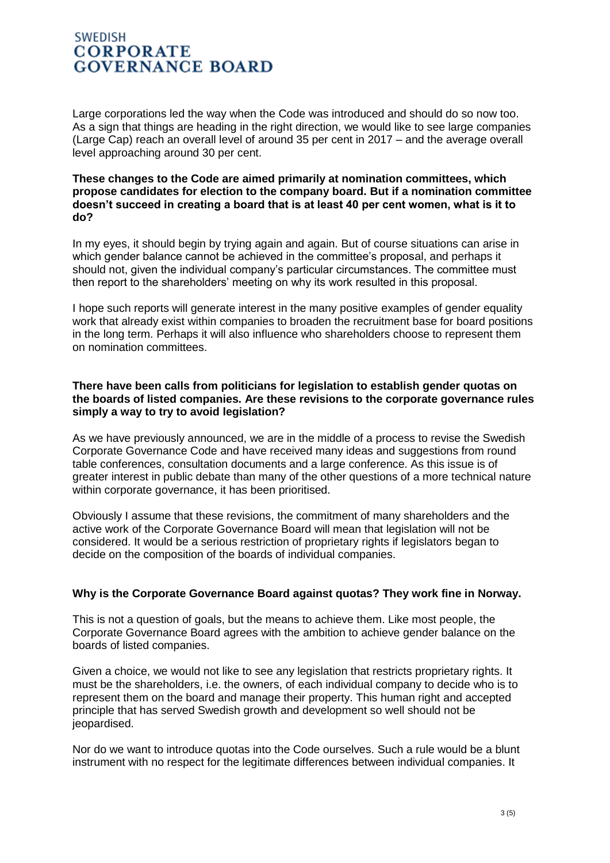Large corporations led the way when the Code was introduced and should do so now too. As a sign that things are heading in the right direction, we would like to see large companies (Large Cap) reach an overall level of around 35 per cent in 2017 – and the average overall level approaching around 30 per cent.

#### **These changes to the Code are aimed primarily at nomination committees, which propose candidates for election to the company board. But if a nomination committee doesn't succeed in creating a board that is at least 40 per cent women, what is it to do?**

In my eyes, it should begin by trying again and again. But of course situations can arise in which gender balance cannot be achieved in the committee's proposal, and perhaps it should not, given the individual company's particular circumstances. The committee must then report to the shareholders' meeting on why its work resulted in this proposal.

I hope such reports will generate interest in the many positive examples of gender equality work that already exist within companies to broaden the recruitment base for board positions in the long term. Perhaps it will also influence who shareholders choose to represent them on nomination committees.

### **There have been calls from politicians for legislation to establish gender quotas on the boards of listed companies. Are these revisions to the corporate governance rules simply a way to try to avoid legislation?**

As we have previously announced, we are in the middle of a process to revise the Swedish Corporate Governance Code and have received many ideas and suggestions from round table conferences, consultation documents and a large conference. As this issue is of greater interest in public debate than many of the other questions of a more technical nature within corporate governance, it has been prioritised.

Obviously I assume that these revisions, the commitment of many shareholders and the active work of the Corporate Governance Board will mean that legislation will not be considered. It would be a serious restriction of proprietary rights if legislators began to decide on the composition of the boards of individual companies.

## **Why is the Corporate Governance Board against quotas? They work fine in Norway.**

This is not a question of goals, but the means to achieve them. Like most people, the Corporate Governance Board agrees with the ambition to achieve gender balance on the boards of listed companies.

Given a choice, we would not like to see any legislation that restricts proprietary rights. It must be the shareholders, i.e. the owners, of each individual company to decide who is to represent them on the board and manage their property. This human right and accepted principle that has served Swedish growth and development so well should not be jeopardised.

Nor do we want to introduce quotas into the Code ourselves. Such a rule would be a blunt instrument with no respect for the legitimate differences between individual companies. It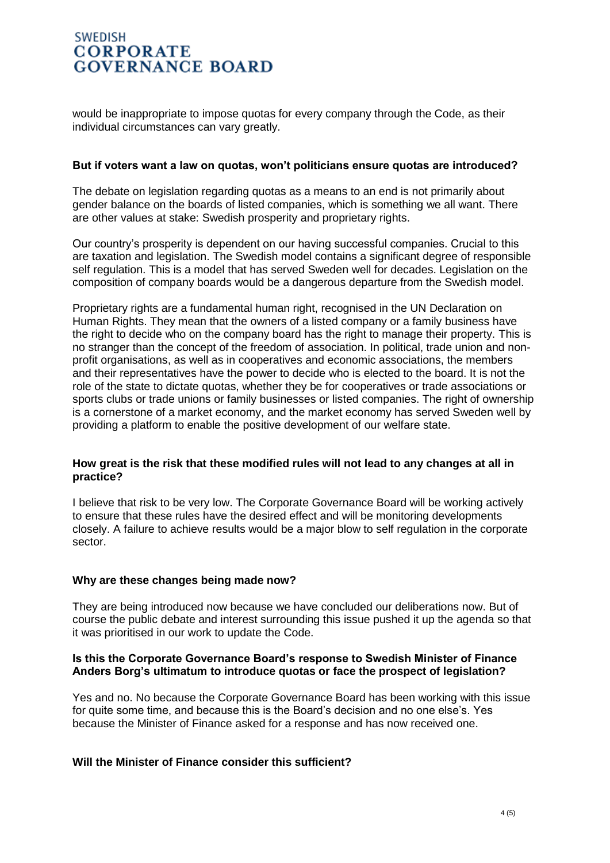would be inappropriate to impose quotas for every company through the Code, as their individual circumstances can vary greatly.

#### **But if voters want a law on quotas, won't politicians ensure quotas are introduced?**

The debate on legislation regarding quotas as a means to an end is not primarily about gender balance on the boards of listed companies, which is something we all want. There are other values at stake: Swedish prosperity and proprietary rights.

Our country's prosperity is dependent on our having successful companies. Crucial to this are taxation and legislation. The Swedish model contains a significant degree of responsible self regulation. This is a model that has served Sweden well for decades. Legislation on the composition of company boards would be a dangerous departure from the Swedish model.

Proprietary rights are a fundamental human right, recognised in the UN Declaration on Human Rights. They mean that the owners of a listed company or a family business have the right to decide who on the company board has the right to manage their property. This is no stranger than the concept of the freedom of association. In political, trade union and nonprofit organisations, as well as in cooperatives and economic associations, the members and their representatives have the power to decide who is elected to the board. It is not the role of the state to dictate quotas, whether they be for cooperatives or trade associations or sports clubs or trade unions or family businesses or listed companies. The right of ownership is a cornerstone of a market economy, and the market economy has served Sweden well by providing a platform to enable the positive development of our welfare state.

### **How great is the risk that these modified rules will not lead to any changes at all in practice?**

I believe that risk to be very low. The Corporate Governance Board will be working actively to ensure that these rules have the desired effect and will be monitoring developments closely. A failure to achieve results would be a major blow to self regulation in the corporate sector.

#### **Why are these changes being made now?**

They are being introduced now because we have concluded our deliberations now. But of course the public debate and interest surrounding this issue pushed it up the agenda so that it was prioritised in our work to update the Code.

### **Is this the Corporate Governance Board's response to Swedish Minister of Finance Anders Borg's ultimatum to introduce quotas or face the prospect of legislation?**

Yes and no. No because the Corporate Governance Board has been working with this issue for quite some time, and because this is the Board's decision and no one else's. Yes because the Minister of Finance asked for a response and has now received one.

## **Will the Minister of Finance consider this sufficient?**